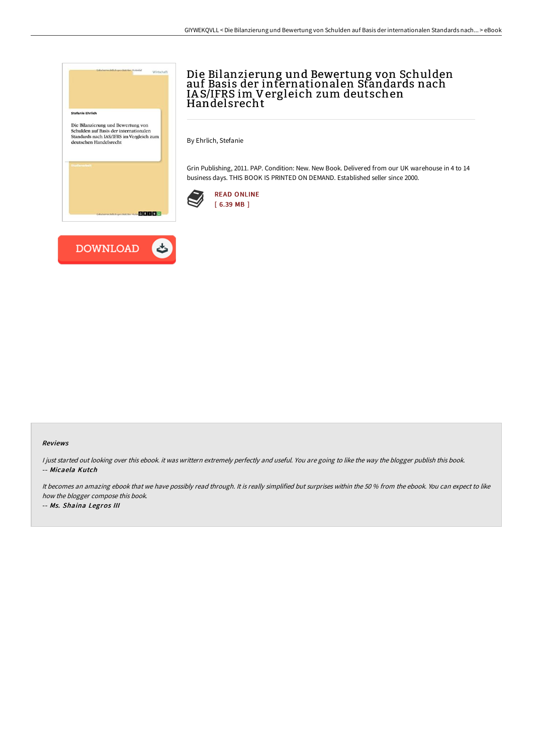

## Die Bilanzierung und Bewertung von Schulden auf Basis der internationalen Standards nach IA S/IFRS im Vergleich zum deutschen Handelsrecht

By Ehrlich, Stefanie

Grin Publishing, 2011. PAP. Condition: New. New Book. Delivered from our UK warehouse in 4 to 14 business days. THIS BOOK IS PRINTED ON DEMAND. Established seller since 2000.





## Reviews

I just started out looking over this ebook. it was writtern extremely perfectly and useful. You are going to like the way the blogger publish this book. -- Micaela Kutch

It becomes an amazing ebook that we have possibly read through. It is really simplified but surprises within the 50 % from the ebook. You can expect to like how the blogger compose this book.

-- Ms. Shaina Legros III